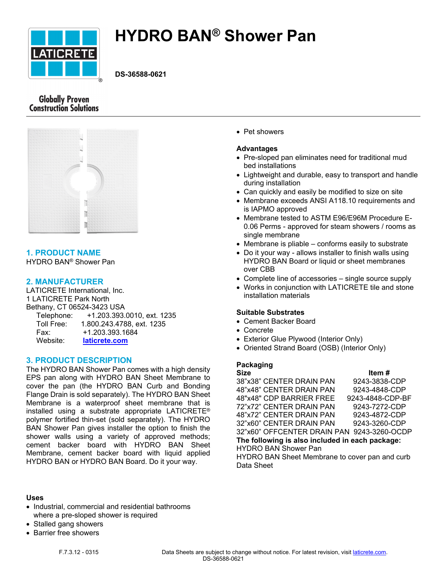

# **HYDRO BAN® Shower Pan**

**DS-36588-0621**

# **Globally Proven Construction Solutions**



# **1. PRODUCT NAME**

HYDRO BAN® Shower Pan

## **2. MANUFACTURER**

LATICRETE International, Inc. 1 LATICRETE Park North Bethany, CT 06524-3423 USA Telephone: +1.203.393.0010, ext. 1235 Toll Free: 1.800.243.4788, ext. 1235 Fax: +1.203.393.1684 Website: **[laticrete.com](https://laticrete.com/)**

## **3. PRODUCT DESCRIPTION**

The HYDRO BAN Shower Pan comes with a high density EPS pan along with HYDRO BAN Sheet Membrane to cover the pan (the HYDRO BAN Curb and Bonding Flange Drain is sold separately). The HYDRO BAN Sheet Membrane is a waterproof sheet membrane that is installed using a substrate appropriate LATICRETE® polymer fortified thin-set (sold separately). The HYDRO BAN Shower Pan gives installer the option to finish the shower walls using a variety of approved methods; cement backer board with HYDRO BAN Sheet Membrane, cement backer board with liquid applied HYDRO BAN or HYDRO BAN Board. Do it your way.

#### **Uses**

- Industrial, commercial and residential bathrooms where a pre-sloped shower is required
- Stalled gang showers
- Barrier free showers
	-

Pet showers

#### **Advantages**

- Pre-sloped pan eliminates need for traditional mud bed installations
- Lightweight and durable, easy to transport and handle during installation
- Can quickly and easily be modified to size on site
- Membrane exceeds ANSI A118.10 requirements and is IAPMO approved
- Membrane tested to ASTM E96/E96M Procedure E-0.06 Perms - approved for steam showers / rooms as single membrane
- Membrane is pliable conforms easily to substrate
- Do it your way allows installer to finish walls using HYDRO BAN Board or liquid or sheet membranes over CBB
- Complete line of accessories single source supply
- Works in conjunction with LATICRETE tile and stone installation materials

#### **Suitable Substrates**

- Cement Backer Board
- Concrete
- Exterior Glue Plywood (Interior Only)
- Oriented Strand Board (OSB) (Interior Only)

## **Packaging**

Size **Item #** 38"x38" CENTER DRAIN PAN 9243-3838-CDP 48"x48" CENTER DRAIN PAN 9243-4848-CDP 48"x48" CDP BARRIER FREE 9243-4848-CDP-BF 72"x72" CENTER DRAIN PAN 9243-7272-CDP 48"x72" CENTER DRAIN PAN 9243-4872-CDP 32"x60" CENTER DRAIN PAN 9243-3260-CDP 32"x60" OFFCENTER DRAIN PAN 9243-3260-OCDP **The following is also included in each package:** HYDRO BAN Shower Pan HYDRO BAN Sheet Membrane to cover pan and curb Data Sheet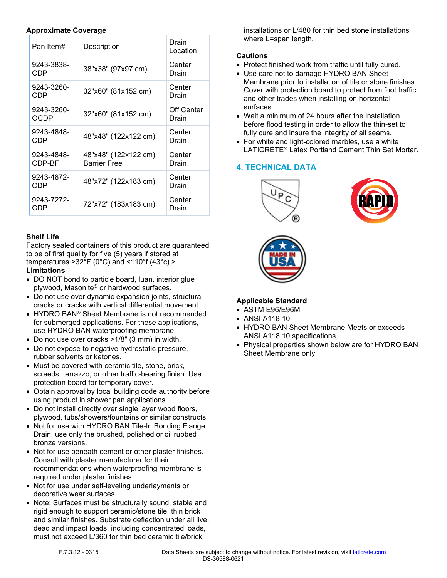#### **Approximate Coverage**

| Pan Item#            | Description                                 | Drain<br>Location   |
|----------------------|---------------------------------------------|---------------------|
| 9243-3838-<br>CDP    | 38"x38" (97x97 cm)                          | Center<br>Drain     |
| 9243-3260-<br>CDP    | 32"x60" (81x152 cm)                         | Center<br>Drain     |
| 9243-3260-<br>OCDP   | 32"x60" (81x152 cm)                         | Off Center<br>Drain |
| 9243-4848-<br>CDP    | 48"x48" (122x122 cm)                        | Center<br>Drain     |
| 9243-4848-<br>CDP-BF | 48"x48" (122x122 cm)<br><b>Barrier Free</b> | Center<br>Drain     |
| 9243-4872-<br>CDP    | 48"x72" (122x183 cm)                        | Center<br>Drain     |
| 9243-7272-<br>CDP    | 72"x72" (183x183 cm)                        | Center<br>Drain     |

## **Shelf Life**

Factory sealed containers of this product are guaranteed to be of first quality for five (5) years if stored at temperatures  $>32^{\circ}F(0^{\circ}C)$  and  $<110^{\circ}f(43^{\circ}c)$ .

## **Limitations**

- DO NOT bond to particle board, luan, interior glue plywood, Masonite® or hardwood surfaces.
- Do not use over dynamic expansion joints, structural cracks or cracks with vertical differential movement.
- HYDRO BAN<sup>®</sup> Sheet Membrane is not recommended for submerged applications. For these applications, use HYDRO BAN waterproofing membrane.
- Do not use over cracks >1/8" (3 mm) in width.
- Do not expose to negative hydrostatic pressure, rubber solvents or ketones.
- Must be covered with ceramic tile, stone, brick, screeds, terrazzo, or other traffic-bearing finish. Use protection board for temporary cover.
- Obtain approval by local building code authority before using product in shower pan applications.
- Do not install directly over single layer wood floors, plywood, tubs/showers/fountains or similar constructs.
- Not for use with HYDRO BAN Tile-In Bonding Flange Drain, use only the brushed, polished or oil rubbed bronze versions.
- Not for use beneath cement or other plaster finishes. Consult with plaster manufacturer for their recommendations when waterproofing membrane is required under plaster finishes.
- Not for use under self-leveling underlayments or decorative wear surfaces.
- Note: Surfaces must be structurally sound, stable and rigid enough to support ceramic/stone tile, thin brick and similar finishes. Substrate deflection under all live, dead and impact loads, including concentrated loads, must not exceed L/360 for thin bed ceramic tile/brick

installations or L/480 for thin bed stone installations where L=span length.

# **Cautions**

- Protect finished work from traffic until fully cured.
- Use care not to damage HYDRO BAN Sheet Membrane prior to installation of tile or stone finishes. Cover with protection board to protect from foot traffic and other trades when installing on horizontal surfaces.
- Wait a minimum of 24 hours after the installation before flood testing in order to allow the thin-set to fully cure and insure the integrity of all seams.
- For white and light-colored marbles, use a white LATICRETE® Latex Portland Cement Thin Set Mortar.

# **4. TECHNICAL DATA**







# **Applicable Standard**

- ASTM E96/E96M
- ANSI A118.10
- HYDRO BAN Sheet Membrane Meets or exceeds ANSI A118.10 specifications
- Physical properties shown below are for HYDRO BAN Sheet Membrane only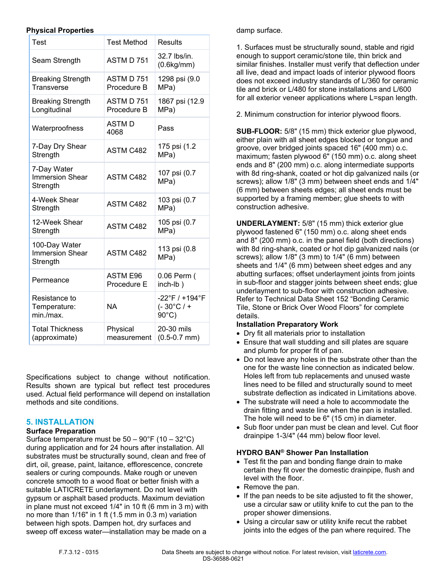#### **Physical Properties**

| Test                                                | <b>Test Method</b>             | Results                                                 |
|-----------------------------------------------------|--------------------------------|---------------------------------------------------------|
| Seam Strength                                       | ASTM D 751                     | 32.7 lbs/in.<br>(0.6kg/mm)                              |
| <b>Breaking Strength</b><br>Transverse              | ASTM D 751<br>Procedure B      | 1298 psi (9.0<br>MPa)                                   |
| <b>Breaking Strength</b><br>Longitudinal            | ASTM D 751<br>Procedure B      | 1867 psi (12.9<br>MPa)                                  |
| Waterproofness                                      | <b>ASTMD</b><br>4068           | Pass                                                    |
| 7-Day Dry Shear<br>Strength                         | <b>ASTM C482</b>               | 175 psi (1.2<br>MPa)                                    |
| 7-Day Water<br><b>Immersion Shear</b><br>Strength   | ASTM C482                      | 107 psi (0.7<br>MPa)                                    |
| 4-Week Shear<br>Strength                            | ASTM C482                      | 103 psi (0.7<br>MPa)                                    |
| 12-Week Shear<br>Strength                           | <b>ASTM C482</b>               | 105 psi (0.7<br>MPa)                                    |
| 100-Day Water<br><b>Immersion Shear</b><br>Strength | <b>ASTM C482</b>               | 113 psi (0.8<br>MPa)                                    |
| Permeance                                           | <b>ASTM E96</b><br>Procedure E | 0.06 Perm (<br>inch-lb)                                 |
| Resistance to<br>Temperature:<br>min./max.          | ΝA                             | -22°F / +194°F<br>$(-30^{\circ}C/$ +<br>$90^{\circ}$ C) |
| <b>Total Thickness</b><br>(approximate)             | Physical<br>measurement        | 20-30 mils<br>$(0.5 - 0.7$ mm)                          |

Specifications subject to change without notification. Results shown are typical but reflect test procedures used. Actual field performance will depend on installation methods and site conditions.

# **5. INSTALLATION**

#### **Surface Preparation**

Surface temperature must be  $50 - 90^{\circ}$ F (10 – 32 $^{\circ}$ C) during application and for 24 hours after installation. All substrates must be structurally sound, clean and free of dirt, oil, grease, paint, laitance, efflorescence, concrete sealers or curing compounds. Make rough or uneven concrete smooth to a wood float or better finish with a suitable LATICRETE underlayment. Do not level with gypsum or asphalt based products. Maximum deviation in plane must not exceed 1/4" in 10 ft (6 mm in 3 m) with no more than 1/16" in 1 ft (1.5 mm in 0.3 m) variation between high spots. Dampen hot, dry surfaces and sweep off excess water—installation may be made on a

damp surface.

1. Surfaces must be structurally sound, stable and rigid enough to support ceramic/stone tile, thin brick and similar finishes. Installer must verify that deflection under all live, dead and impact loads of interior plywood floors does not exceed industry standards of L/360 for ceramic tile and brick or L/480 for stone installations and L/600 for all exterior veneer applications where L=span length.

2. Minimum construction for interior plywood floors.

**SUB-FLOOR:** 5/8" (15 mm) thick exterior glue plywood, either plain with all sheet edges blocked or tongue and groove, over bridged joints spaced 16" (400 mm) o.c. maximum; fasten plywood 6" (150 mm) o.c. along sheet ends and 8" (200 mm) o.c. along intermediate supports with 8d ring-shank, coated or hot dip galvanized nails (or screws); allow 1/8" (3 mm) between sheet ends and 1/4" (6 mm) between sheets edges; all sheet ends must be supported by a framing member; glue sheets to with construction adhesive.

**UNDERLAYMENT:** 5/8" (15 mm) thick exterior glue plywood fastened 6" (150 mm) o.c. along sheet ends and 8" (200 mm) o.c. in the panel field (both directions) with 8d ring-shank, coated or hot dip galvanized nails (or screws); allow 1/8" (3 mm) to 1/4" (6 mm) between sheets and 1/4" (6 mm) between sheet edges and any abutting surfaces; offset underlayment joints from joints in sub-floor and stagger joints between sheet ends; glue underlayment to sub-floor with construction adhesive. Refer to Technical Data Sheet 152 "Bonding Ceramic Tile, Stone or Brick Over Wood Floors" for complete details.

# **Installation Preparatory Work**

- Dry fit all materials prior to installation
- Ensure that wall studding and sill plates are square and plumb for proper fit of pan.
- Do not leave any holes in the substrate other than the one for the waste line connection as indicated below. Holes left from tub replacements and unused waste lines need to be filled and structurally sound to meet substrate deflection as indicated in Limitations above.
- The substrate will need a hole to accommodate the drain fitting and waste line when the pan is installed. The hole will need to be 6" (15 cm) in diameter.
- Sub floor under pan must be clean and level. Cut floor drainpipe 1-3/4" (44 mm) below floor level.

## **HYDRO BAN® Shower Pan Installation**

- Test fit the pan and bonding flange drain to make certain they fit over the domestic drainpipe, flush and level with the floor.
- Remove the pan.
- If the pan needs to be site adjusted to fit the shower, use a circular saw or utility knife to cut the pan to the proper shower dimensions.
- Using a circular saw or utility knife recut the rabbet joints into the edges of the pan where required. The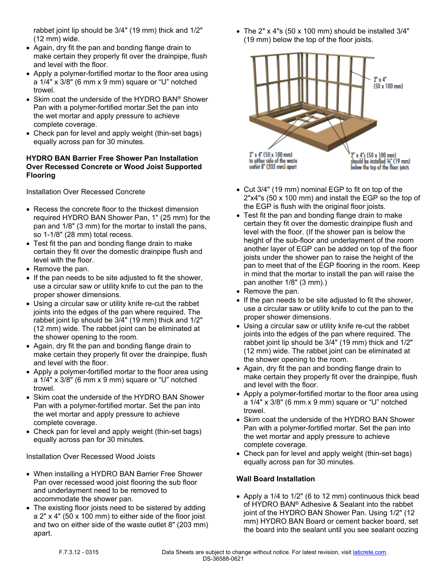rabbet joint lip should be 3/4" (19 mm) thick and 1/2" (12 mm) wide.

- Again, dry fit the pan and bonding flange drain to make certain they properly fit over the drainpipe, flush and level with the floor.
- Apply a polymer-fortified mortar to the floor area using a  $1/4$ " x  $3/8$ " (6 mm x 9 mm) square or "U" notched trowel.
- Skim coat the underside of the HYDRO BAN® Shower Pan with a polymer-fortified mortar.Set the pan into the wet mortar and apply pressure to achieve complete coverage.
- Check pan for level and apply weight (thin-set bags) equally across pan for 30 minutes.

#### **HYDRO BAN Barrier Free Shower Pan Installation Over Recessed Concrete or Wood Joist Supported Flooring**

Installation Over Recessed Concrete

- Recess the concrete floor to the thickest dimension required HYDRO BAN Shower Pan, 1" (25 mm) for the pan and 1/8" (3 mm) for the mortar to install the pans, so 1-1/8" (28 mm) total recess.
- Test fit the pan and bonding flange drain to make certain they fit over the domestic drainpipe flush and level with the floor.
- Remove the pan.
- If the pan needs to be site adjusted to fit the shower, use a circular saw or utility knife to cut the pan to the proper shower dimensions.
- Using a circular saw or utility knife re-cut the rabbet joints into the edges of the pan where required. The rabbet joint lip should be 3/4" (19 mm) thick and 1/2" (12 mm) wide. The rabbet joint can be eliminated at the shower opening to the room.
- Again, dry fit the pan and bonding flange drain to make certain they properly fit over the drainpipe, flush and level with the floor.
- Apply a polymer-fortified mortar to the floor area using a 1/4" x 3/8" (6 mm x 9 mm) square or "U" notched trowel.
- Skim coat the underside of the HYDRO BAN Shower Pan with a polymer-fortified mortar. Set the pan into the wet mortar and apply pressure to achieve complete coverage.
- Check pan for level and apply weight (thin-set bags) equally across pan for 30 minutes.

Installation Over Recessed Wood Joists

- When installing a HYDRO BAN Barrier Free Shower Pan over recessed wood joist flooring the sub floor and underlayment need to be removed to accommodate the shower pan.
- The existing floor joists need to be sistered by adding a 2" x 4" (50 x 100 mm) to either side of the floor joist and two on either side of the waste outlet 8" (203 mm) apart.

 The 2" x 4"s (50 x 100 mm) should be installed 3/4" (19 mm) below the top of the floor joists.



- Cut 3/4" (19 mm) nominal EGP to fit on top of the 2"x4"s (50 x 100 mm) and install the EGP so the top of the EGP is flush with the original floor joists.
- Test fit the pan and bonding flange drain to make certain they fit over the domestic drainpipe flush and level with the floor. (If the shower pan is below the height of the sub-floor and underlayment of the room another layer of EGP can be added on top of the floor joists under the shower pan to raise the height of the pan to meet that of the EGP flooring in the room. Keep in mind that the mortar to install the pan will raise the pan another 1/8" (3 mm).)
- Remove the pan.
- If the pan needs to be site adjusted to fit the shower, use a circular saw or utility knife to cut the pan to the proper shower dimensions.
- Using a circular saw or utility knife re-cut the rabbet joints into the edges of the pan where required. The rabbet joint lip should be 3/4" (19 mm) thick and 1/2" (12 mm) wide. The rabbet joint can be eliminated at the shower opening to the room.
- Again, dry fit the pan and bonding flange drain to make certain they properly fit over the drainpipe, flush and level with the floor.
- Apply a polymer-fortified mortar to the floor area using a 1/4" x 3/8" (6 mm x 9 mm) square or "U" notched trowel.
- Skim coat the underside of the HYDRO BAN Shower Pan with a polymer-fortified mortar. Set the pan into the wet mortar and apply pressure to achieve complete coverage.
- Check pan for level and apply weight (thin-set bags) equally across pan for 30 minutes.

# **Wall Board Installation**

 Apply a 1/4 to 1/2" (6 to 12 mm) continuous thick bead of HYDRO BAN® Adhesive & Sealant into the rabbet joint of the HYDRO BAN Shower Pan. Using 1/2" (12 mm) HYDRO BAN Board or cement backer board, set the board into the sealant until you see sealant oozing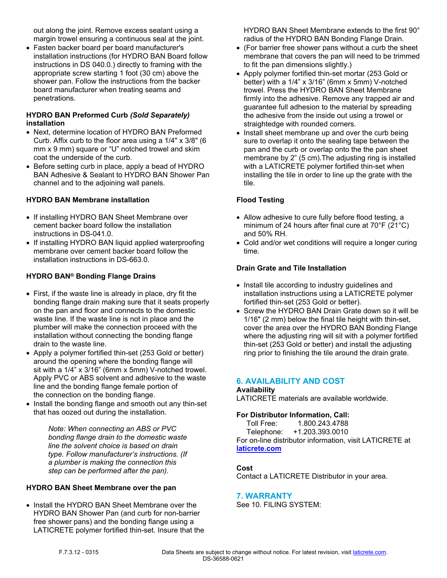out along the joint. Remove excess sealant using a margin trowel ensuring a continuous seal at the joint.

 Fasten backer board per board manufacturer's installation instructions (for HYDRO BAN Board follow instructions in DS 040.0.) directly to framing with the appropriate screw starting 1 foot (30 cm) above the shower pan. Follow the instructions from the backer board manufacturer when treating seams and penetrations.

## **HYDRO BAN Preformed Curb** *(Sold Separately)* **installation**

- Next, determine location of HYDRO BAN Preformed Curb. Affix curb to the floor area using a 1/4" x 3/8" (6 mm x 9 mm) square or "U" notched trowel and skim coat the underside of the curb.
- Before setting curb in place, apply a bead of HYDRO BAN Adhesive & Sealant to HYDRO BAN Shower Pan channel and to the adjoining wall panels.

## **HYDRO BAN Membrane installation**

- If installing HYDRO BAN Sheet Membrane over cement backer board follow the installation instructions in DS-041.0.
- If installing HYDRO BAN liquid applied waterproofing membrane over cement backer board follow the installation instructions in DS-663.0.

## **HYDRO BAN® Bonding Flange Drains**

- First, if the waste line is already in place, dry fit the bonding flange drain making sure that it seats properly on the pan and floor and connects to the domestic waste line. If the waste line is not in place and the plumber will make the connection proceed with the installation without connecting the bonding flange drain to the waste line.
- Apply a polymer fortified thin-set (253 Gold or better) around the opening where the bonding flange will sit with a 1/4" x 3/16" (6mm x 5mm) V-notched trowel. Apply PVC or ABS solvent and adhesive to the waste line and the bonding flange female portion of the connection on the bonding flange.
- Install the bonding flange and smooth out any thin-set that has oozed out during the installation.

*Note: When connecting an ABS or PVC bonding flange drain to the domestic waste line the solvent choice is based on drain type. Follow manufacturer's instructions. (If a plumber is making the connection this step can be performed after the pan).*

#### **HYDRO BAN Sheet Membrane over the pan**

• Install the HYDRO BAN Sheet Membrane over the HYDRO BAN Shower Pan (and curb for non-barrier free shower pans) and the bonding flange using a LATICRETE polymer fortified thin-set. Insure that the HYDRO BAN Sheet Membrane extends to the first 90° radius of the HYDRO BAN Bonding Flange Drain.

- (For barrier free shower pans without a curb the sheet membrane that covers the pan will need to be trimmed to fit the pan dimensions slightly.)
- Apply polymer fortified thin-set mortar (253 Gold or better) with a 1/4" x 3/16" (6mm x 5mm) V-notched trowel. Press the HYDRO BAN Sheet Membrane firmly into the adhesive. Remove any trapped air and guarantee full adhesion to the material by spreading the adhesive from the inside out using a trowel or straightedge with rounded corners.
- Install sheet membrane up and over the curb being sure to overlap it onto the sealing tape between the pan and the curb or overlap onto the the pan sheet membrane by 2" (5 cm).The adjusting ring is installed with a LATICRETE polymer fortified thin-set when installing the tile in order to line up the grate with the tile.

## **Flood Testing**

- Allow adhesive to cure fully before flood testing, a minimum of 24 hours after final cure at 70°F (21°C) and 50% RH.
- Cold and/or wet conditions will require a longer curing time.

## **Drain Grate and Tile Installation**

- Install tile according to industry guidelines and installation instructions using a LATICRETE polymer fortified thin-set (253 Gold or better).
- Screw the HYDRO BAN Drain Grate down so it will be 1/16" (2 mm) below the final tile height with thin-set, cover the area over the HYDRO BAN Bonding Flange where the adjusting ring will sit with a polymer fortified thin-set (253 Gold or better) and install the adjusting ring prior to finishing the tile around the drain grate.

# **6. AVAILABILITY AND COST**

## **Availability**

LATICRETE materials are available worldwide.

## **For Distributor Information, Call:**

 Toll Free: 1.800.243.4788 Telephone: +1.203.393.0010 For on-line distributor information, visit LATICRETE at **[laticrete.com](https://laticrete.com/)**

## **Cost**

Contact a LATICRETE Distributor in your area.

## **7. WARRANTY**

See 10. FILING SYSTEM: